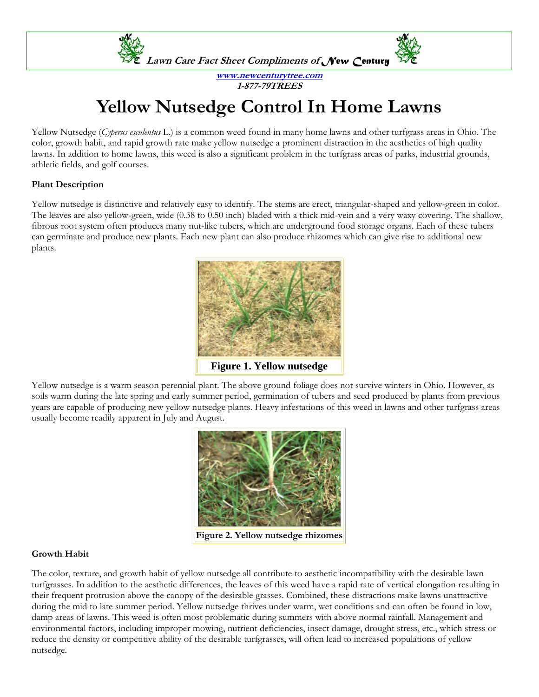

**www.newcenturytree.com 1-877-79TREES** 

# **Yellow Nutsedge Control In Home Lawns**

Yellow Nutsedge (*Cyperus esculentus* L.) is a common weed found in many home lawns and other turfgrass areas in Ohio. The color, growth habit, and rapid growth rate make yellow nutsedge a prominent distraction in the aesthetics of high quality lawns. In addition to home lawns, this weed is also a significant problem in the turfgrass areas of parks, industrial grounds, athletic fields, and golf courses.

## **Plant Description**

Yellow nutsedge is distinctive and relatively easy to identify. The stems are erect, triangular-shaped and yellow-green in color. The leaves are also yellow-green, wide (0.38 to 0.50 inch) bladed with a thick mid-vein and a very waxy covering. The shallow, fibrous root system often produces many nut-like tubers, which are underground food storage organs. Each of these tubers can germinate and produce new plants. Each new plant can also produce rhizomes which can give rise to additional new plants.



Yellow nutsedge is a warm season perennial plant. The above ground foliage does not survive winters in Ohio. However, as soils warm during the late spring and early summer period, germination of tubers and seed produced by plants from previous years are capable of producing new yellow nutsedge plants. Heavy infestations of this weed in lawns and other turfgrass areas usually become readily apparent in July and August.



**Figure 2. Yellow nutsedge rhizomes** 

## **Growth Habit**

The color, texture, and growth habit of yellow nutsedge all contribute to aesthetic incompatibility with the desirable lawn turfgrasses. In addition to the aesthetic differences, the leaves of this weed have a rapid rate of vertical elongation resulting in their frequent protrusion above the canopy of the desirable grasses. Combined, these distractions make lawns unattractive during the mid to late summer period. Yellow nutsedge thrives under warm, wet conditions and can often be found in low, damp areas of lawns. This weed is often most problematic during summers with above normal rainfall. Management and environmental factors, including improper mowing, nutrient deficiencies, insect damage, drought stress, etc., which stress or reduce the density or competitive ability of the desirable turfgrasses, will often lead to increased populations of yellow nutsedge.